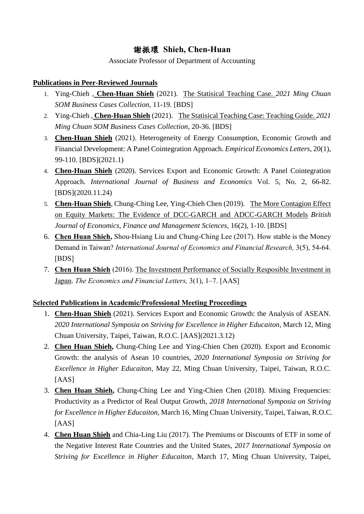## 謝振環 **Shieh, Chen-Huan**

Associate Professor of Department of Accounting

## **Publications in Peer-Reviewed Journals**

- 1. Ying-Chieh , **Chen-Huan Shieh** (2021). [The Statisical Teaching Case.](http://www.ajournal.co.uk/EFpdfs/EFvolume16(2)/EFVol.16%20(2)%20Article%201.pdf) *2021 Ming Chuan SOM Business Cases Collection*, 11-19. [BDS]
- 2. Ying-Chieh , **Chen-Huan Shieh** (2021). [The Statisical Teaching Case: Teaching Guide.](http://www.ajournal.co.uk/EFpdfs/EFvolume16(2)/EFVol.16%20(2)%20Article%201.pdf) *2021 Ming Chuan SOM Business Cases Collection*, 20-36. [BDS]
- 3. **Chen-Huan Shieh** (2021). Heterogeneity of Energy Consumption, Economic Growth and Financial Development: A Panel Cointegration Approach. *Empirical Economics Letters*, 20(1), 99-110. [BDS](2021.1)
- 4. **Chen-Huan Shieh** (2020). Services Export and Economic Growth: A Panel Cointegration Approach. *International Journal of Business and Economics* Vol. 5, No. 2, 66-82. [BDS](2020.11.24)
- 5. **Chen-Huan Shieh**, Chung-Ching Lee, Ying-Chieh Chen (2019). [The More Contagion Effect](http://www.ajournal.co.uk/EFpdfs/EFvolume16(2)/EFVol.16%20(2)%20Article%201.pdf)  [on Equity Markets: The Evidence of DCC-GARCH and ADCC-GARCH Models](http://www.ajournal.co.uk/EFpdfs/EFvolume16(2)/EFVol.16%20(2)%20Article%201.pdf) *British Journal of Economics, Finance and Management Sciences,* 16(2), 1-10. [BDS]
- 6. **Chen Huan Shieh,** Shou-Hsiang Liu and Chung-Ching Lee (2017). How stable is the Money Demand in Taiwan? *International Journal of Economics and Financial Research,* 3(5), 54-64. [BDS]
- 7. **Chen Huan Shieh** (2016). [The Investment Performance of Socially Resposible Investment in](http://eportfolio.mcu.edu.tw/ePortfolio/Teacher/Html/Common/epdf/8100193/RE_D2_20160314_10028.PDF)  [Japan.](http://eportfolio.mcu.edu.tw/ePortfolio/Teacher/Html/Common/epdf/8100193/RE_D2_20160314_10028.PDF) *The Economics and Financial Letters,* 3(1), 1–7. [AAS]

## **Selected Publications in Academic/Professional Meeting Proceedings**

- 1. **Chen-Huan Shieh** (2021). Services Export and Economic Growth: the Analysis of ASEAN. *2020 International Symposia on Striving for Excellence in Higher Educaiton*, March 12, Ming Chuan University, Taipei, Taiwan, R.O.C. [AAS](2021.3.12)
- 2. **Chen Huan Shieh,** Chung-Ching Lee and Ying-Chien Chen (2020). Export and Economic Growth: the analysis of Asean 10 countries, *2020 International Symposia on Striving for Excellence in Higher Educaiton*, May 22, Ming Chuan University, Taipei, Taiwan, R.O.C. [AAS]
- 3. **Chen Huan Shieh,** Chung-Ching Lee and Ying-Chien Chen (2018). Mixing Frequencies: Productivity as a Predictor of Real Output Growth, *2018 International Symposia on Striving for Excellence in Higher Educaiton*, March 16, Ming Chuan University, Taipei, Taiwan, R.O.C. [AAS]
- 4. **Chen Huan Shieh** and Chia-Ling Liu (2017). The Premiums or Discounts of ETF in some of the Negative Interest Rate Countries and the United States, *2017 International Symposia on Striving for Excellence in Higher Educaiton*, March 17, Ming Chuan University, Taipei,